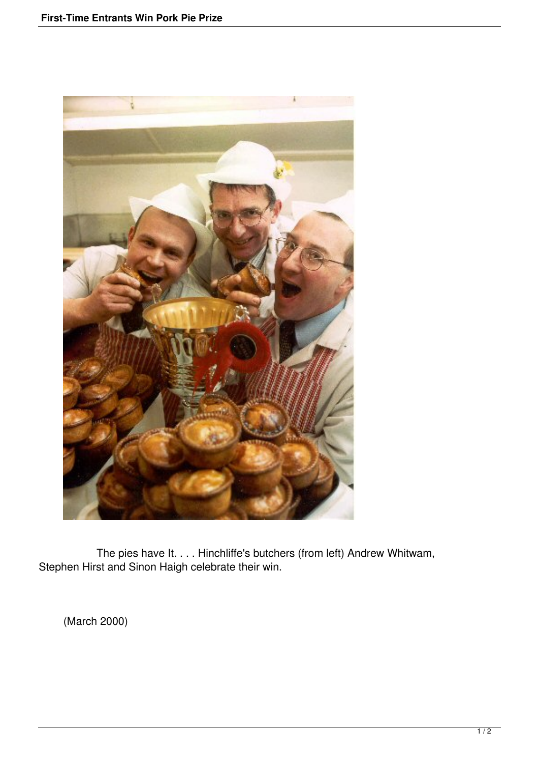

 The pies have It. . . . Hinchliffe's butchers (from left) Andrew Whitwam, Stephen Hirst and Sinon Haigh celebrate their win.

(March 2000)